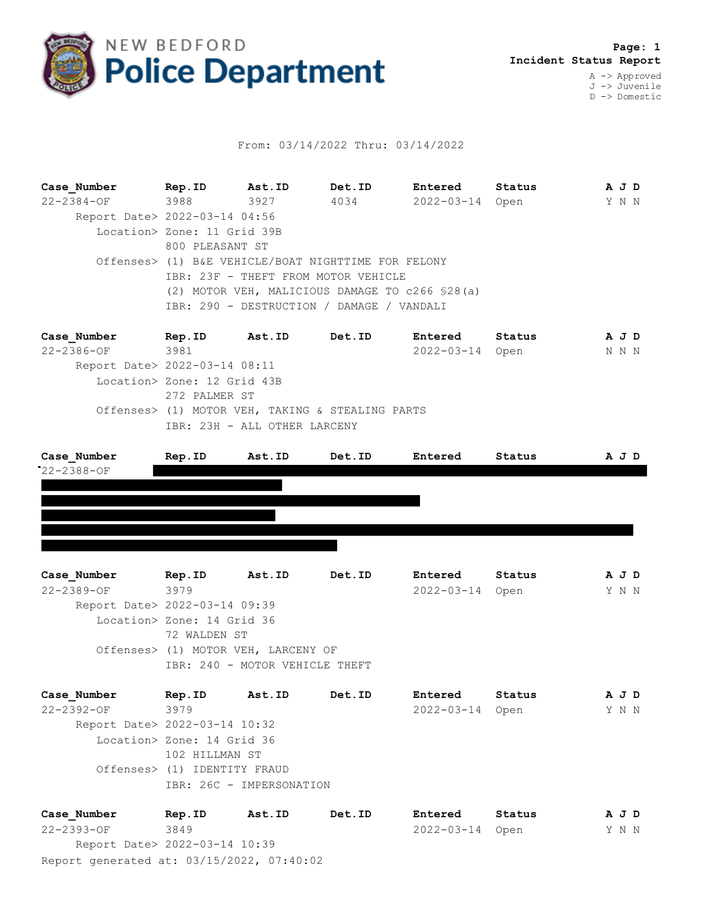

## From: 03/14/2022 Thru: 03/14/2022

**Case\_Number Rep.ID Ast.ID Det.ID Entered Status A J D** 22-2384-OF 3988 3927 4034 2022-03-14 Open Y N N Report Date> 2022-03-14 04:56 Location> Zone: 11 Grid 39B 800 PLEASANT ST Offenses> (1) B&E VEHICLE/BOAT NIGHTTIME FOR FELONY IBR: 23F - THEFT FROM MOTOR VEHICLE (2) MOTOR VEH, MALICIOUS DAMAGE TO c266 §28(a) IBR: 290 - DESTRUCTION / DAMAGE / VANDALI

**Case\_Number Rep.ID Ast.ID Det.ID Entered Status A J D** 22-2386-OF 3981 2022-03-14 Open N N N Report Date> 2022-03-14 08:11 Location> Zone: 12 Grid 43B 272 PALMER ST Offenses> (1) MOTOR VEH, TAKING & STEALING PARTS IBR: 23H - ALL OTHER LARCENY

| Case Number      | Rep.ID | Ast.ID | Det.ID | Entered | Status | A J D |
|------------------|--------|--------|--------|---------|--------|-------|
| $22 - 2388 - OF$ |        |        |        |         |        |       |
|                  |        |        |        |         |        |       |
|                  |        |        |        |         |        |       |
|                  |        |        |        |         |        |       |
|                  |        |        |        |         |        |       |

**Case\_Number Rep.ID Ast.ID Det.ID Entered Status A J D** 22-2389-OF 3979 2022-03-14 Open Y N N Report Date> 2022-03-14 09:39 Location> Zone: 14 Grid 36 72 WALDEN ST Offenses> (1) MOTOR VEH, LARCENY OF IBR: 240 - MOTOR VEHICLE THEFT

| Case Number                   | Rep.ID                       | Ast.ID                   | Det.ID | Entered    | Status |  | A J D |  |
|-------------------------------|------------------------------|--------------------------|--------|------------|--------|--|-------|--|
| $22 - 2392 - 0F$              | 3979                         |                          |        | 2022-03-14 | Open   |  | Y N N |  |
| Report Date> 2022-03-14 10:32 |                              |                          |        |            |        |  |       |  |
|                               | Location> Zone: 14 Grid 36   |                          |        |            |        |  |       |  |
|                               | 102 HILLMAN ST               |                          |        |            |        |  |       |  |
|                               | Offenses> (1) IDENTITY FRAUD |                          |        |            |        |  |       |  |
|                               |                              | IBR: 26C - IMPERSONATION |        |            |        |  |       |  |
|                               |                              |                          |        |            |        |  |       |  |

| Case Number                               | Rep.ID | Ast.ID | Det.ID | Entered         | Status | A J D |  |
|-------------------------------------------|--------|--------|--------|-----------------|--------|-------|--|
| 22-2393-0F                                | 3849   |        |        | 2022-03-14 Open |        | YNN   |  |
| Report Date> 2022-03-14 10:39             |        |        |        |                 |        |       |  |
| Report generated at: 03/15/2022, 07:40:02 |        |        |        |                 |        |       |  |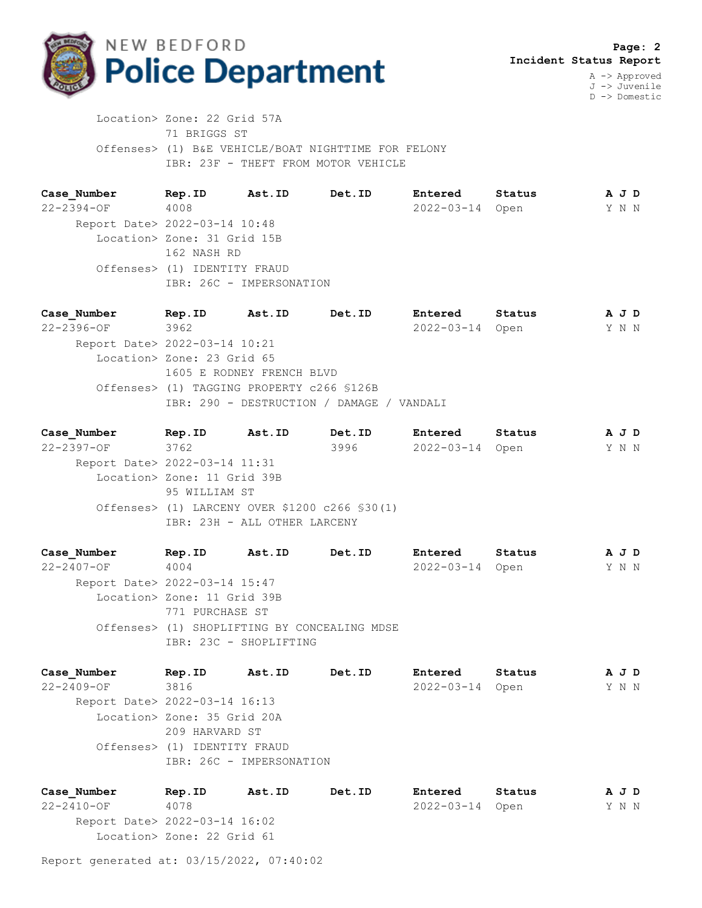

D -> Domestic

 Location> Zone: 22 Grid 57A 71 BRIGGS ST Offenses> (1) B&E VEHICLE/BOAT NIGHTTIME FOR FELONY IBR: 23F - THEFT FROM MOTOR VEHICLE

**Case\_Number Rep.ID Ast.ID Det.ID Entered Status A J D** 22-2394-OF 4008 2022-03-14 Open Y N N Report Date> 2022-03-14 10:48 Location> Zone: 31 Grid 15B 162 NASH RD Offenses> (1) IDENTITY FRAUD IBR: 26C - IMPERSONATION

**Case\_Number Rep.ID Ast.ID Det.ID Entered Status A J D** 22-2396-OF 3962 2022-03-14 Open Y N N Report Date> 2022-03-14 10:21 Location> Zone: 23 Grid 65 1605 E RODNEY FRENCH BLVD Offenses> (1) TAGGING PROPERTY c266 §126B IBR: 290 - DESTRUCTION / DAMAGE / VANDALI

**Case\_Number Rep.ID Ast.ID Det.ID Entered Status A J D** 22-2397-OF 3762 3996 2022-03-14 Open Y N N Report Date> 2022-03-14 11:31 Location> Zone: 11 Grid 39B 95 WILLIAM ST Offenses> (1) LARCENY OVER \$1200 c266 §30(1) IBR: 23H - ALL OTHER LARCENY

**Case\_Number Rep.ID Ast.ID Det.ID Entered Status A J D** 22-2407-OF 4004 2022-03-14 Open Y N N Report Date> 2022-03-14 15:47 Location> Zone: 11 Grid 39B 771 PURCHASE ST Offenses> (1) SHOPLIFTING BY CONCEALING MDSE IBR: 23C - SHOPLIFTING

**Case\_Number Rep.ID Ast.ID Det.ID Entered Status A J D** 22-2409-OF 3816 2022-03-14 Open Y N N Report Date> 2022-03-14 16:13 Location> Zone: 35 Grid 20A 209 HARVARD ST Offenses> (1) IDENTITY FRAUD IBR: 26C - IMPERSONATION

**Case\_Number Rep.ID Ast.ID Det.ID Entered Status A J D** 22-2410-OF 4078 2022-03-14 Open Y N N Report Date> 2022-03-14 16:02 Location> Zone: 22 Grid 61

Report generated at: 03/15/2022, 07:40:02